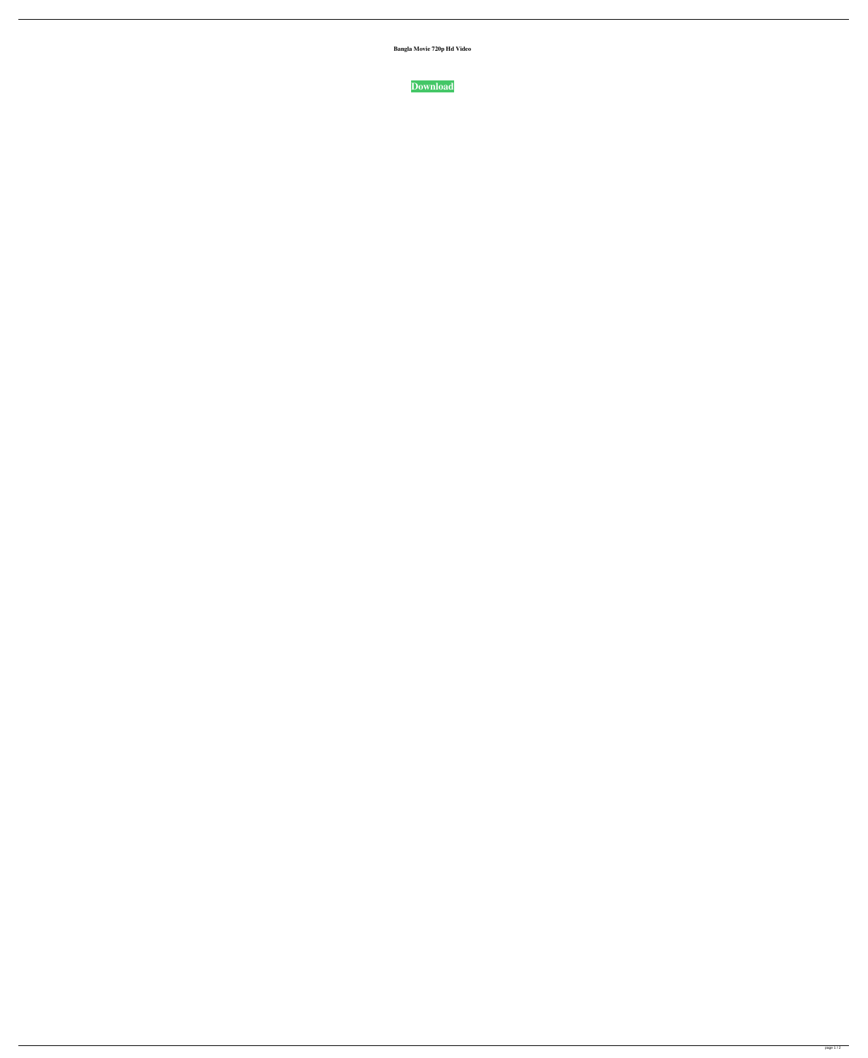**Bangla Movie 720p Hd Video**